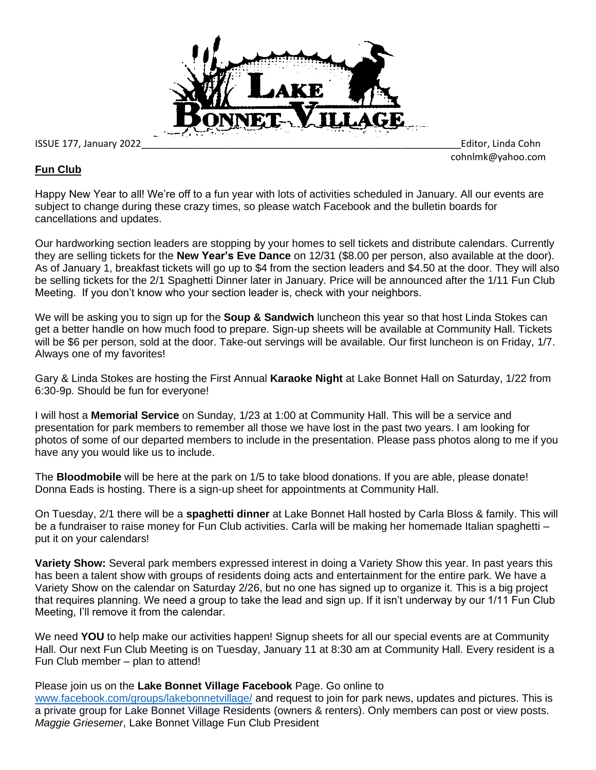

ISSUE 177, January 2022\_\_\_\_\_\_\_\_\_\_\_\_\_\_\_\_\_\_\_\_\_\_\_\_\_\_\_\_\_\_\_\_\_\_\_\_\_\_\_\_\_\_\_\_\_\_\_\_\_\_\_\_\_\_\_\_\_\_\_\_Editor, Linda Cohn

cohnlmk@yahoo.com

## **Fun Club**

Happy New Year to all! We're off to a fun year with lots of activities scheduled in January. All our events are subject to change during these crazy times, so please watch Facebook and the bulletin boards for cancellations and updates.

Our hardworking section leaders are stopping by your homes to sell tickets and distribute calendars. Currently they are selling tickets for the **New Year's Eve Dance** on 12/31 (\$8.00 per person, also available at the door). As of January 1, breakfast tickets will go up to \$4 from the section leaders and \$4.50 at the door. They will also be selling tickets for the 2/1 Spaghetti Dinner later in January. Price will be announced after the 1/11 Fun Club Meeting. If you don't know who your section leader is, check with your neighbors.

We will be asking you to sign up for the **Soup & Sandwich** luncheon this year so that host Linda Stokes can get a better handle on how much food to prepare. Sign-up sheets will be available at Community Hall. Tickets will be \$6 per person, sold at the door. Take-out servings will be available. Our first luncheon is on Friday, 1/7. Always one of my favorites!

Gary & Linda Stokes are hosting the First Annual **Karaoke Night** at Lake Bonnet Hall on Saturday, 1/22 from 6:30-9p. Should be fun for everyone!

I will host a **Memorial Service** on Sunday, 1/23 at 1:00 at Community Hall. This will be a service and presentation for park members to remember all those we have lost in the past two years. I am looking for photos of some of our departed members to include in the presentation. Please pass photos along to me if you have any you would like us to include.

The **Bloodmobile** will be here at the park on 1/5 to take blood donations. If you are able, please donate! Donna Eads is hosting. There is a sign-up sheet for appointments at Community Hall.

On Tuesday, 2/1 there will be a **spaghetti dinner** at Lake Bonnet Hall hosted by Carla Bloss & family. This will be a fundraiser to raise money for Fun Club activities. Carla will be making her homemade Italian spaghetti – put it on your calendars!

**Variety Show:** Several park members expressed interest in doing a Variety Show this year. In past years this has been a talent show with groups of residents doing acts and entertainment for the entire park. We have a Variety Show on the calendar on Saturday 2/26, but no one has signed up to organize it. This is a big project that requires planning. We need a group to take the lead and sign up. If it isn't underway by our 1/11 Fun Club Meeting, I'll remove it from the calendar.

We need **YOU** to help make our activities happen! Signup sheets for all our special events are at Community Hall. Our next Fun Club Meeting is on Tuesday, January 11 at 8:30 am at Community Hall. Every resident is a Fun Club member – plan to attend!

Please join us on the **Lake Bonnet Village Facebook** Page. Go online to

[www.facebook.com/groups/lakebonnetvillage/](http://www.facebook.com/groups/lakebonnetvillage/) and request to join for park news, updates and pictures. This is a private group for Lake Bonnet Village Residents (owners & renters). Only members can post or view posts. *Maggie Griesemer*, Lake Bonnet Village Fun Club President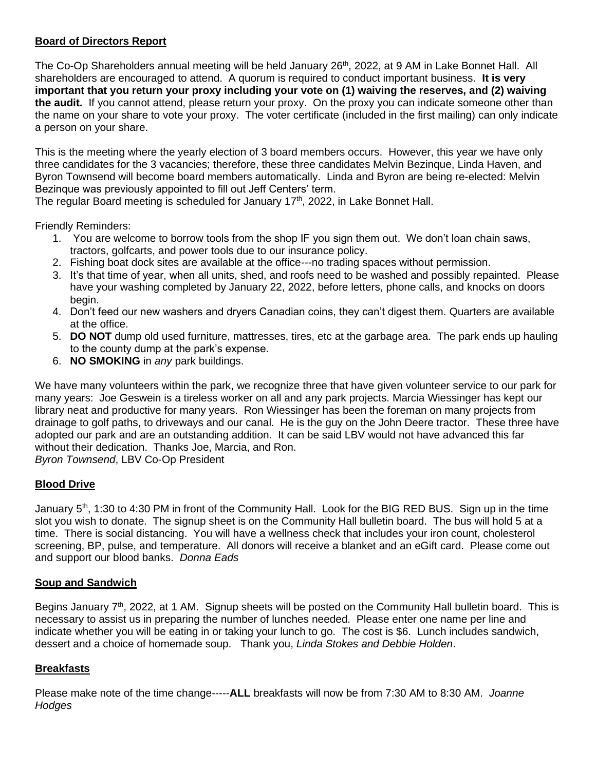# **Board of Directors Report**

The Co-Op Shareholders annual meeting will be held January 26<sup>th</sup>, 2022, at 9 AM in Lake Bonnet Hall. All shareholders are encouraged to attend. A quorum is required to conduct important business. **It is very important that you return your proxy including your vote on (1) waiving the reserves, and (2) waiving the audit.** If you cannot attend, please return your proxy. On the proxy you can indicate someone other than the name on your share to vote your proxy. The voter certificate (included in the first mailing) can only indicate a person on your share.

This is the meeting where the yearly election of 3 board members occurs. However, this year we have only three candidates for the 3 vacancies; therefore, these three candidates Melvin Bezinque, Linda Haven, and Byron Townsend will become board members automatically. Linda and Byron are being re-elected: Melvin Bezinque was previously appointed to fill out Jeff Centers' term.

The regular Board meeting is scheduled for January  $17<sup>th</sup>$ , 2022, in Lake Bonnet Hall.

Friendly Reminders:

- 1. You are welcome to borrow tools from the shop IF you sign them out. We don't loan chain saws, tractors, golfcarts, and power tools due to our insurance policy.
- 2. Fishing boat dock sites are available at the office---no trading spaces without permission.
- 3. It's that time of year, when all units, shed, and roofs need to be washed and possibly repainted. Please have your washing completed by January 22, 2022, before letters, phone calls, and knocks on doors begin.
- 4. Don't feed our new washers and dryers Canadian coins, they can't digest them. Quarters are available at the office.
- 5. **DO NOT** dump old used furniture, mattresses, tires, etc at the garbage area. The park ends up hauling to the county dump at the park's expense.
- 6. **NO SMOKING** in *any* park buildings.

We have many volunteers within the park, we recognize three that have given volunteer service to our park for many years: Joe Geswein is a tireless worker on all and any park projects. Marcia Wiessinger has kept our library neat and productive for many years. Ron Wiessinger has been the foreman on many projects from drainage to golf paths, to driveways and our canal. He is the guy on the John Deere tractor. These three have adopted our park and are an outstanding addition. It can be said LBV would not have advanced this far without their dedication. Thanks Joe, Marcia, and Ron.

*Byron Townsend*, LBV Co-Op President

## **Blood Drive**

January 5<sup>th</sup>, 1:30 to 4:30 PM in front of the Community Hall. Look for the BIG RED BUS. Sign up in the time slot you wish to donate. The signup sheet is on the Community Hall bulletin board. The bus will hold 5 at a time. There is social distancing. You will have a wellness check that includes your iron count, cholesterol screening, BP, pulse, and temperature. All donors will receive a blanket and an eGift card. Please come out and support our blood banks. *Donna Eads*

## **Soup and Sandwich**

Begins January 7<sup>th</sup>, 2022, at 1 AM. Signup sheets will be posted on the Community Hall bulletin board. This is necessary to assist us in preparing the number of lunches needed. Please enter one name per line and indicate whether you will be eating in or taking your lunch to go. The cost is \$6. Lunch includes sandwich, dessert and a choice of homemade soup. Thank you, *Linda Stokes and Debbie Holden*.

## **Breakfasts**

Please make note of the time change-----**ALL** breakfasts will now be from 7:30 AM to 8:30 AM. *Joanne Hodges*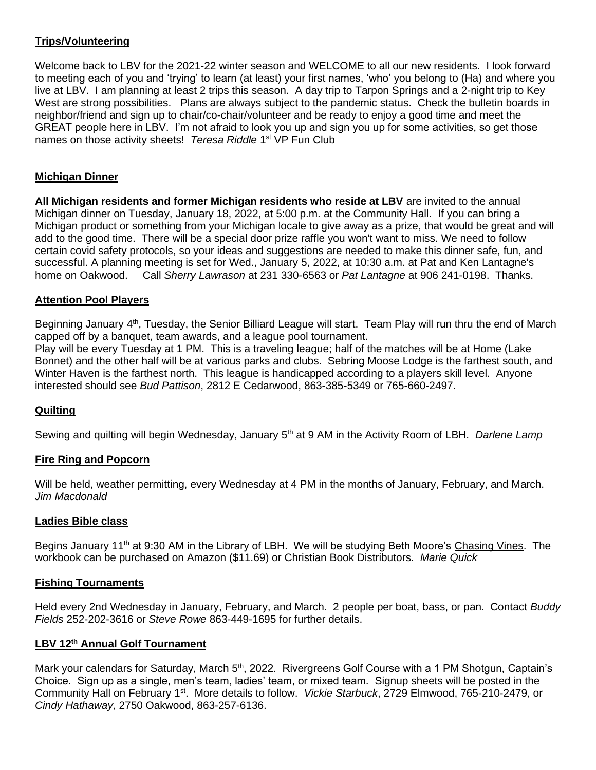## **Trips/Volunteering**

Welcome back to LBV for the 2021-22 winter season and WELCOME to all our new residents. I look forward to meeting each of you and 'trying' to learn (at least) your first names, 'who' you belong to (Ha) and where you live at LBV. I am planning at least 2 trips this season. A day trip to Tarpon Springs and a 2-night trip to Key West are strong possibilities. Plans are always subject to the pandemic status. Check the bulletin boards in neighbor/friend and sign up to chair/co-chair/volunteer and be ready to enjoy a good time and meet the GREAT people here in LBV. I'm not afraid to look you up and sign you up for some activities, so get those names on those activity sheets! Teresa Riddle 1<sup>st</sup> VP Fun Club

# **Michigan Dinner**

**All Michigan residents and former Michigan residents who reside at LBV** are invited to the annual Michigan dinner on Tuesday, January 18, 2022, at 5:00 p.m. at the Community Hall. If you can bring a Michigan product or something from your Michigan locale to give away as a prize, that would be great and will add to the good time. There will be a special door prize raffle you won't want to miss. We need to follow certain covid safety protocols, so your ideas and suggestions are needed to make this dinner safe, fun, and successful. A planning meeting is set for Wed., January 5, 2022, at 10:30 a.m. at Pat and Ken Lantagne's home on Oakwood. Call *Sherry Lawrason* at 231 330-6563 or *Pat Lantagne* at 906 241-0198. Thanks.

## **Attention Pool Players**

Beginning January 4<sup>th</sup>, Tuesday, the Senior Billiard League will start. Team Play will run thru the end of March capped off by a banquet, team awards, and a league pool tournament. Play will be every Tuesday at 1 PM. This is a traveling league; half of the matches will be at Home (Lake

Bonnet) and the other half will be at various parks and clubs. Sebring Moose Lodge is the farthest south, and Winter Haven is the farthest north. This league is handicapped according to a players skill level. Anyone interested should see *Bud Pattison*, 2812 E Cedarwood, 863-385-5349 or 765-660-2497.

## **Quilting**

Sewing and quilting will begin Wednesday, January 5<sup>th</sup> at 9 AM in the Activity Room of LBH. *Darlene Lamp* 

## **Fire Ring and Popcorn**

Will be held, weather permitting, every Wednesday at 4 PM in the months of January, February, and March. *Jim Macdonald*

## **Ladies Bible class**

Begins January 11<sup>th</sup> at 9:30 AM in the Library of LBH. We will be studying Beth Moore's Chasing Vines. The workbook can be purchased on Amazon (\$11.69) or Christian Book Distributors. *Marie Quick*

## **Fishing Tournaments**

Held every 2nd Wednesday in January, February, and March. 2 people per boat, bass, or pan. Contact *Buddy Fields* 252-202-3616 or *Steve Rowe* 863-449-1695 for further details.

## **LBV 12th Annual Golf Tournament**

Mark your calendars for Saturday, March 5<sup>th</sup>, 2022. Rivergreens Golf Course with a 1 PM Shotgun, Captain's Choice. Sign up as a single, men's team, ladies' team, or mixed team. Signup sheets will be posted in the Community Hall on February 1st. More details to follow. *Vickie Starbuck*, 2729 Elmwood, 765-210-2479, or *Cindy Hathaway*, 2750 Oakwood, 863-257-6136.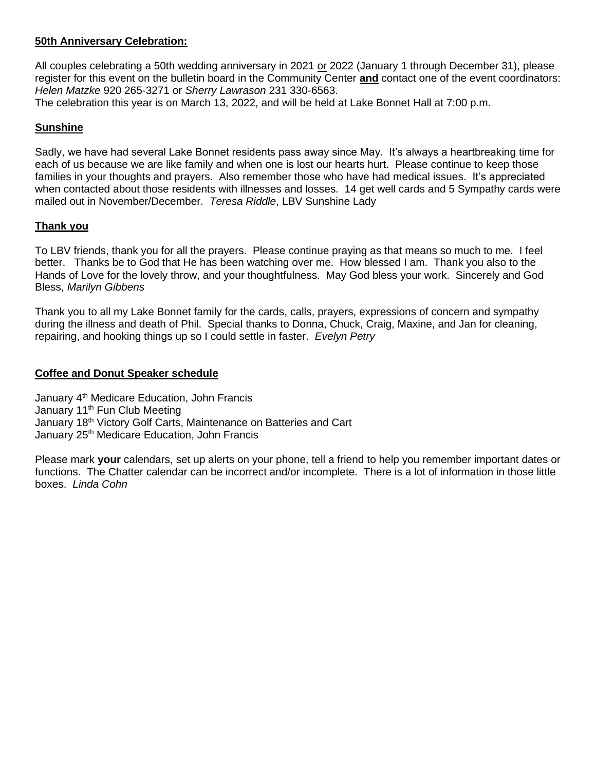## **50th Anniversary Celebration:**

All couples celebrating a 50th wedding anniversary in 2021 or 2022 (January 1 through December 31), please register for this event on the bulletin board in the Community Center **and** contact one of the event coordinators: *Helen Matzke* 920 265-3271 or *Sherry Lawrason* 231 330-6563.

The celebration this year is on March 13, 2022, and will be held at Lake Bonnet Hall at 7:00 p.m.

#### **Sunshine**

Sadly, we have had several Lake Bonnet residents pass away since May. It's always a heartbreaking time for each of us because we are like family and when one is lost our hearts hurt. Please continue to keep those families in your thoughts and prayers. Also remember those who have had medical issues. It's appreciated when contacted about those residents with illnesses and losses. 14 get well cards and 5 Sympathy cards were mailed out in November/December. *Teresa Riddle*, LBV Sunshine Lady

#### **Thank you**

To LBV friends, thank you for all the prayers. Please continue praying as that means so much to me. I feel better. Thanks be to God that He has been watching over me. How blessed I am. Thank you also to the Hands of Love for the lovely throw, and your thoughtfulness. May God bless your work. Sincerely and God Bless, *Marilyn Gibbens*

Thank you to all my Lake Bonnet family for the cards, calls, prayers, expressions of concern and sympathy during the illness and death of Phil. Special thanks to Donna, Chuck, Craig, Maxine, and Jan for cleaning, repairing, and hooking things up so I could settle in faster. *Evelyn Petry*

#### **Coffee and Donut Speaker schedule**

January 4<sup>th</sup> Medicare Education, John Francis January 11<sup>th</sup> Fun Club Meeting January 18<sup>th</sup> Victory Golf Carts, Maintenance on Batteries and Cart January 25<sup>th</sup> Medicare Education, John Francis

Please mark **your** calendars, set up alerts on your phone, tell a friend to help you remember important dates or functions. The Chatter calendar can be incorrect and/or incomplete. There is a lot of information in those little boxes. *Linda Cohn*